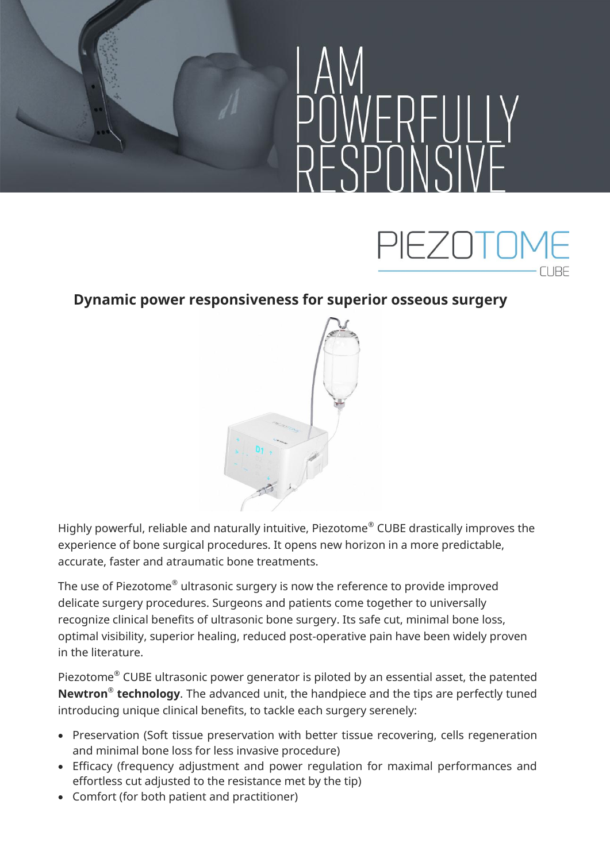



## **Dynamic power responsiveness for superior osseous surgery**



Highly powerful, reliable and naturally intuitive, Piezotome® CUBE drastically improves the experience of bone surgical procedures. It opens new horizon in a more predictable, accurate, faster and atraumatic bone treatments.

The use of Piezotome® ultrasonic surgery is now the reference to provide improved delicate surgery procedures. Surgeons and patients come together to universally recognize clinical benefits of ultrasonic bone surgery. Its safe cut, minimal bone loss, optimal visibility, superior healing, reduced post-operative pain have been widely proven in the literature.

Piezotome® CUBE ultrasonic power generator is piloted by an essential asset, the patented **Newtron® technology**. The advanced unit, the handpiece and the tips are perfectly tuned introducing unique clinical benefits, to tackle each surgery serenely:

- Preservation (Soft tissue preservation with better tissue recovering, cells regeneration and minimal bone loss for less invasive procedure)
- Efficacy (frequency adjustment and power regulation for maximal performances and effortless cut adjusted to the resistance met by the tip)
- Comfort (for both patient and practitioner)